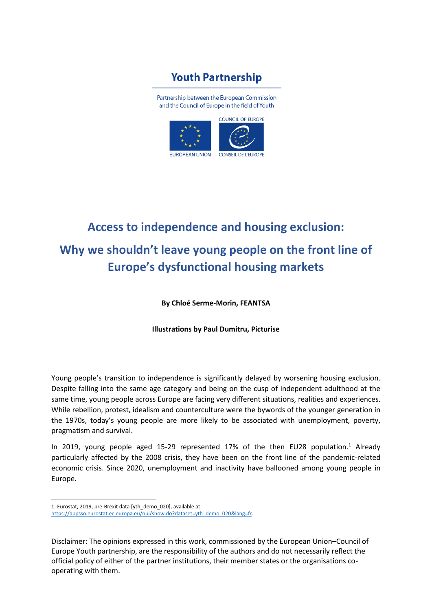## **Youth Partnership**

Partnership between the European Commission and the Council of Europe in the field of Youth



# **Access to independence and housing exclusion: Why we shouldn't leave young people on the front line of Europe's dysfunctional housing markets**

**By Chloé Serme-Morin, FEANTSA**

**Illustrations by Paul Dumitru, Picturise**

Young people's transition to independence is significantly delayed by worsening housing exclusion. Despite falling into the same age category and being on the cusp of independent adulthood at the same time, young people across Europe are facing very different situations, realities and experiences. While rebellion, protest, idealism and counterculture were the bywords of the younger generation in the 1970s, today's young people are more likely to be associated with unemployment, poverty, pragmatism and survival.

In 2019, young people aged 15-29 represented 17% of the then EU28 population.<sup>1</sup> Already particularly affected by the 2008 crisis, they have been on the front line of the pandemic-related economic crisis. Since 2020, unemployment and inactivity have ballooned among young people in Europe.

<sup>1.</sup> Eurostat, 2019, pre-Brexit data [yth\_demo\_020], available at [https://appsso.eurostat.ec.europa.eu/nui/show.do?dataset=yth\\_demo\\_020&lang=fr.](https://appsso.eurostat.ec.europa.eu/nui/show.do?dataset=yth_demo_020&lang=fr)

Disclaimer: The opinions expressed in this work, commissioned by the European Union–Council of Europe Youth partnership, are the responsibility of the authors and do not necessarily reflect the official policy of either of the partner institutions, their member states or the organisations cooperating with them.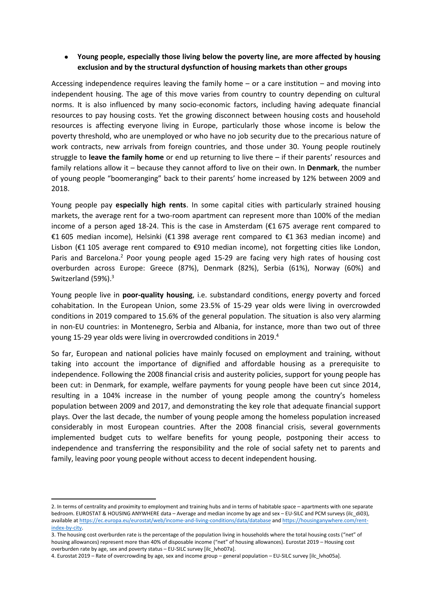### • **Young people, especially those living below the poverty line, are more affected by housing exclusion and by the structural dysfunction of housing markets than other groups**

Accessing independence requires leaving the family home – or a care institution – and moving into independent housing. The age of this move varies from country to country depending on cultural norms. It is also influenced by many socio-economic factors, including having adequate financial resources to pay housing costs. Yet the growing disconnect between housing costs and household resources is affecting everyone living in Europe, particularly those whose income is below the poverty threshold, who are unemployed or who have no job security due to the precarious nature of work contracts, new arrivals from foreign countries, and those under 30. Young people routinely struggle to **leave the family home** or end up returning to live there – if their parents' resources and family relations allow it – because they cannot afford to live on their own. In **Denmark**, the number of young people "boomeranging" back to their parents' home increased by 12% between 2009 and 2018.

Young people pay **especially high rents**. In some capital cities with particularly strained housing markets, the average rent for a two-room apartment can represent more than 100% of the median income of a person aged 18-24. This is the case in Amsterdam (€1 675 average rent compared to €1 605 median income), Helsinki (€1 398 average rent compared to €1 363 median income) and Lisbon (€1 105 average rent compared to €910 median income), not forgetting cities like London, Paris and Barcelona.<sup>2</sup> Poor young people aged 15-29 are facing very high rates of housing cost overburden across Europe: Greece (87%), Denmark (82%), Serbia (61%), Norway (60%) and Switzerland (59%).<sup>3</sup>

Young people live in **poor-quality housing**, i.e. substandard conditions, energy poverty and forced cohabitation. In the European Union, some 23.5% of 15-29 year olds were living in overcrowded conditions in 2019 compared to 15.6% of the general population. The situation is also very alarming in non-EU countries: in Montenegro, Serbia and Albania, for instance, more than two out of three young 15-29 year olds were living in overcrowded conditions in 2019. 4

So far, European and national policies have mainly focused on employment and training, without taking into account the importance of dignified and affordable housing as a prerequisite to independence. Following the 2008 financial crisis and austerity policies, support for young people has been cut: in Denmark, for example, welfare payments for young people have been cut since 2014, resulting in a 104% increase in the number of young people among the country's homeless population between 2009 and 2017, and demonstrating the key role that adequate financial support plays. Over the last decade, the number of young people among the homeless population increased considerably in most European countries. After the 2008 financial crisis, several governments implemented budget cuts to welfare benefits for young people, postponing their access to independence and transferring the responsibility and the role of social safety net to parents and family, leaving poor young people without access to decent independent housing.

<sup>2.</sup> In terms of centrality and proximity to employment and training hubs and in terms of habitable space – apartments with one separate bedroom. EUROSTAT & HOUSING ANYWHERE data – Average and median income by age and sex – EU-SILC and PCM surveys (ilc\_di03), available at <https://ec.europa.eu/eurostat/web/income-and-living-conditions/data/database> an[d https://housinganywhere.com/rent](https://housinganywhere.com/rent-index-by-city)[index-by-city.](https://housinganywhere.com/rent-index-by-city)

<sup>3.</sup> The housing cost overburden rate is the percentage of the population living in households where the total housing costs ("net" of housing allowances) represent more than 40% of disposable income ("net" of housing allowances). Eurostat 2019 – Housing cost overburden rate by age, sex and poverty status – EU-SILC survey [ilc\_lvho07a].

<sup>4.</sup> Eurostat 2019 – Rate of overcrowding by age, sex and income group – general population – EU-SILC survey [ilc\_lvho05a].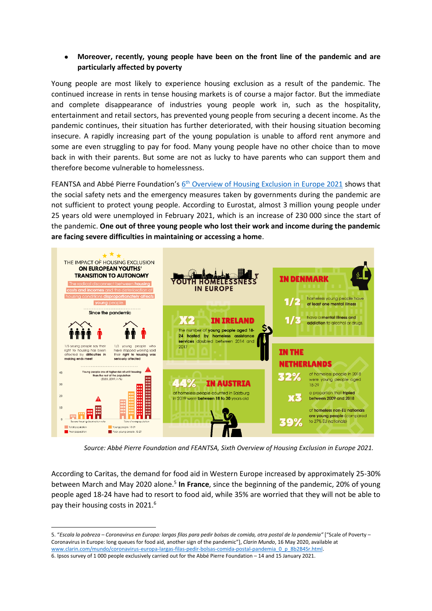### • **Moreover, recently, young people have been on the front line of the pandemic and are particularly affected by poverty**

Young people are most likely to experience housing exclusion as a result of the pandemic. The continued increase in rents in tense housing markets is of course a major factor. But the immediate and complete disappearance of industries young people work in, such as the hospitality, entertainment and retail sectors, has prevented young people from securing a decent income. As the pandemic continues, their situation has further deteriorated, with their housing situation becoming insecure. A rapidly increasing part of the young population is unable to afford rent anymore and some are even struggling to pay for food. Many young people have no other choice than to move back in with their parents. But some are not as lucky to have parents who can support them and therefore become vulnerable to homelessness.

FEANTSA and Abbé Pierre Foundation's 6<sup>th</sup> [Overview of Housing Exclusion in Europe 2021](https://www.feantsa.org/en/report/2021/05/12/the-6th-overview-of-housing-exclusion-in-europe-2021?bcParent=27)</u> shows that the social safety nets and the emergency measures taken by governments during the pandemic are not sufficient to protect young people. According to Eurostat, almost 3 million young people under 25 years old were unemployed in February 2021, which is an increase of 230 000 since the start of the pandemic. **One out of three young people who lost their work and income during the pandemic are facing severe difficulties in maintaining or accessing a home**.



*Source: Abbé Pierre Foundation and FEANTSA, Sixth Overview of Housing Exclusion in Europe 2021.*

According to Caritas, the demand for food aid in Western Europe increased by approximately 25-30% between March and May 2020 alone.<sup>5</sup> In France, since the beginning of the pandemic, 20% of young people aged 18-24 have had to resort to food aid, while 35% are worried that they will not be able to pay their housing costs in 2021.<sup>6</sup>

<sup>5.</sup> "*Escala la pobreza – Coronavirus en Europa: largas filas para pedir bolsas de comida, otra postal de la pandemia"* ["Scale of Poverty – Coronavirus in Europe: long queues for food aid, another sign of the pandemic"], *Clarin Mundo*, 16 May 2020, available at [www.clarin.com/mundo/coronavirus-europa-largas-filas-pedir-bolsas-comida-postal-pandemia\\_0\\_p\\_8b2B4Sr.html.](http://www.clarin.com/mundo/coronavirus-europa-largas-filas-pedir-bolsas-comida-postal-pandemia_0_p_8b2B4Sr.html) 6. Ipsos survey of 1 000 people exclusively carried out for the Abbé Pierre Foundation – 14 and 15 January 2021.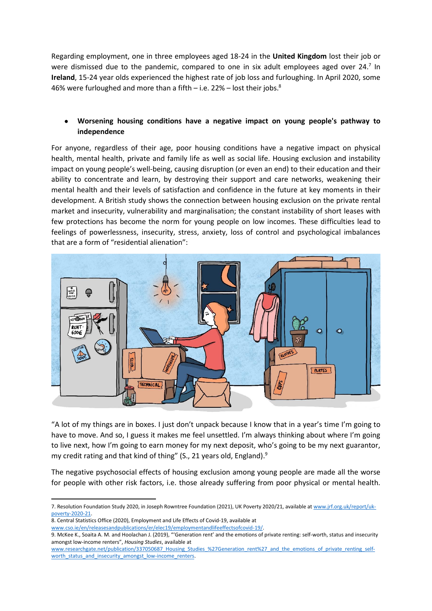Regarding employment, one in three employees aged 18-24 in the **United Kingdom** lost their job or were dismissed due to the pandemic, compared to one in six adult employees aged over 24.<sup>7</sup> In **Ireland**, 15-24 year olds experienced the highest rate of job loss and furloughing. In April 2020, some 46% were furloughed and more than a fifth – i.e.  $22\%$  – lost their jobs.<sup>8</sup>

### • **Worsening housing conditions have a negative impact on young people's pathway to independence**

For anyone, regardless of their age, poor housing conditions have a negative impact on physical health, mental health, private and family life as well as social life. Housing exclusion and instability impact on young people's well-being, causing disruption (or even an end) to their education and their ability to concentrate and learn, by destroying their support and care networks, weakening their mental health and their levels of satisfaction and confidence in the future at key moments in their development. A British study shows the connection between housing exclusion on the private rental market and insecurity, vulnerability and marginalisation; the constant instability of short leases with few protections has become the norm for young people on low incomes. These difficulties lead to feelings of powerlessness, insecurity, stress, anxiety, loss of control and psychological imbalances that are a form of "residential alienation":



"A lot of my things are in boxes. I just don't unpack because I know that in a year's time I'm going to have to move. And so, I guess it makes me feel unsettled. I'm always thinking about where I'm going to live next, how I'm going to earn money for my next deposit, who's going to be my next guarantor, my credit rating and that kind of thing" (S., 21 years old, England).<sup>9</sup>

The negative psychosocial effects of housing exclusion among young people are made all the worse for people with other risk factors, i.e. those already suffering from poor physical or mental health.

- 8. Central Statistics Office (2020), Employment and Life Effects of Covid-19, available at
- [www.cso.ie/en/releasesandpublications/er/elec19/employmentandlifeeffectsofcovid-19/.](http://www.cso.ie/en/releasesandpublications/er/elec19/employmentandlifeeffectsofcovid-19/)

<sup>7.</sup> Resolution Foundation Study 2020, in Joseph Rowntree Foundation (2021), UK Poverty 2020/21, available at [www.jrf.org.uk/report/uk](http://www.jrf.org.uk/report/uk-poverty-2020-21)[poverty-2020-21.](http://www.jrf.org.uk/report/uk-poverty-2020-21)

<sup>9.</sup> McKee K., Soaita A. M. and Hoolachan J. (2019), "'Generation rent' and the emotions of private renting: self-worth, status and insecurity amongst low-income renters", *Housing Studies*, available at

[www.researchgate.net/publication/337050687\\_Housing\\_Studies\\_%27Generation\\_rent%27\\_and\\_the\\_emotions\\_of\\_private\\_renting\\_self](http://www.researchgate.net/publication/337050687_Housing_Studies_%27Generation_rent%27_and_the_emotions_of_private_renting_self-worth_status_and_insecurity_amongst_low-income_renters)worth status and insecurity amongst low-income renters.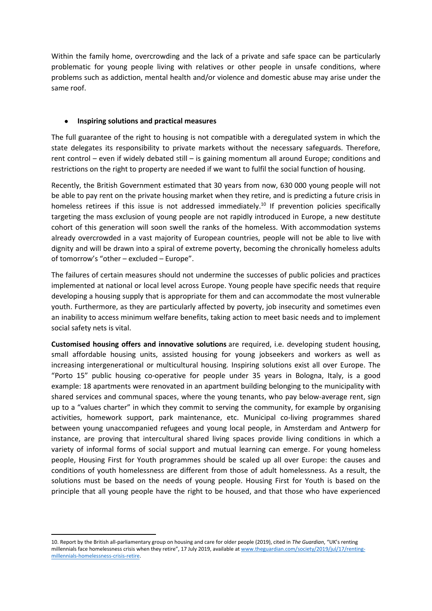Within the family home, overcrowding and the lack of a private and safe space can be particularly problematic for young people living with relatives or other people in unsafe conditions, where problems such as addiction, mental health and/or violence and domestic abuse may arise under the same roof.

#### • **Inspiring solutions and practical measures**

The full guarantee of the right to housing is not compatible with a deregulated system in which the state delegates its responsibility to private markets without the necessary safeguards. Therefore, rent control – even if widely debated still – is gaining momentum all around Europe; conditions and restrictions on the right to property are needed if we want to fulfil the social function of housing.

Recently, the British Government estimated that 30 years from now, 630 000 young people will not be able to pay rent on the private housing market when they retire, and is predicting a future crisis in homeless retirees if this issue is not addressed immediately.<sup>10</sup> If prevention policies specifically targeting the mass exclusion of young people are not rapidly introduced in Europe, a new destitute cohort of this generation will soon swell the ranks of the homeless. With accommodation systems already overcrowded in a vast majority of European countries, people will not be able to live with dignity and will be drawn into a spiral of extreme poverty, becoming the chronically homeless adults of tomorrow's "other – excluded – Europe".

The failures of certain measures should not undermine the successes of public policies and practices implemented at national or local level across Europe. Young people have specific needs that require developing a housing supply that is appropriate for them and can accommodate the most vulnerable youth. Furthermore, as they are particularly affected by poverty, job insecurity and sometimes even an inability to access minimum welfare benefits, taking action to meet basic needs and to implement social safety nets is vital.

**Customised housing offers and innovative solutions** are required, i.e. developing student housing, small affordable housing units, assisted housing for young jobseekers and workers as well as increasing intergenerational or multicultural housing. Inspiring solutions exist all over Europe. The "Porto 15" public housing co-operative for people under 35 years in Bologna, Italy, is a good example: 18 apartments were renovated in an apartment building belonging to the municipality with shared services and communal spaces, where the young tenants, who pay below-average rent, sign up to a "values charter" in which they commit to serving the community, for example by organising activities, homework support, park maintenance, etc. Municipal co-living programmes shared between young unaccompanied refugees and young local people, in Amsterdam and Antwerp for instance, are proving that intercultural shared living spaces provide living conditions in which a variety of informal forms of social support and mutual learning can emerge. For young homeless people, Housing First for Youth programmes should be scaled up all over Europe: the causes and conditions of youth homelessness are different from those of adult homelessness. As a result, the solutions must be based on the needs of young people. Housing First for Youth is based on the principle that all young people have the right to be housed, and that those who have experienced

<sup>10.</sup> Report by the British all-parliamentary group on housing and care for older people (2019), cited in *The Guardian*, "UK's renting millennials face homelessness crisis when they retire", 17 July 2019, available a[t www.theguardian.com/society/2019/jul/17/renting](http://www.theguardian.com/society/2019/jul/17/renting-millennials-homelessness-crisis-retire)[millennials-homelessness-crisis-retire.](http://www.theguardian.com/society/2019/jul/17/renting-millennials-homelessness-crisis-retire)